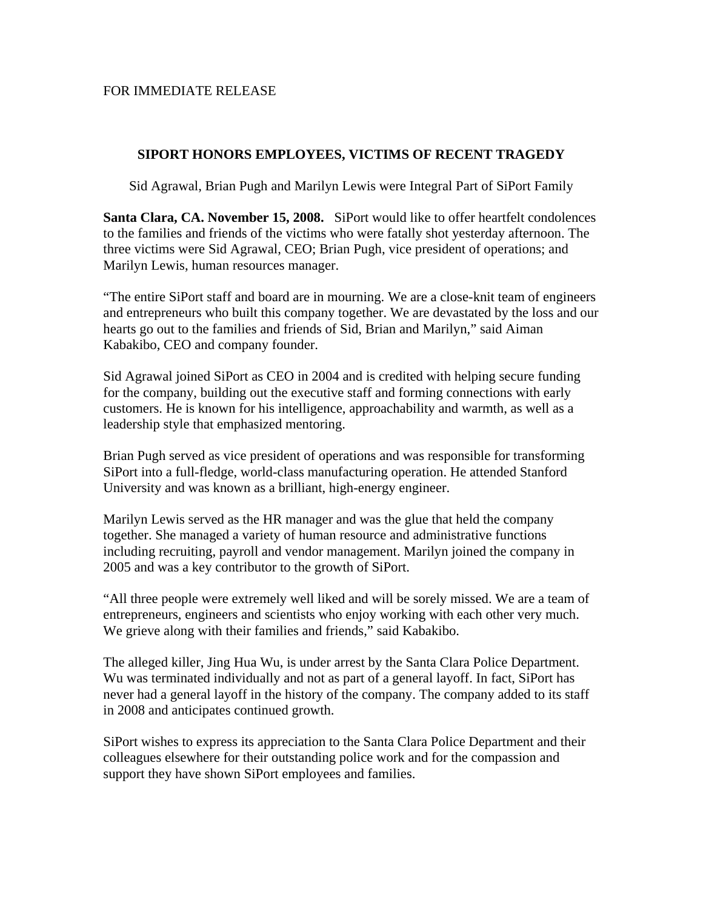## FOR IMMEDIATE RELEASE

## **SIPORT HONORS EMPLOYEES, VICTIMS OF RECENT TRAGEDY**

Sid Agrawal, Brian Pugh and Marilyn Lewis were Integral Part of SiPort Family

**Santa Clara, CA. November 15, 2008.** SiPort would like to offer heartfelt condolences to the families and friends of the victims who were fatally shot yesterday afternoon. The three victims were Sid Agrawal, CEO; Brian Pugh, vice president of operations; and Marilyn Lewis, human resources manager.

"The entire SiPort staff and board are in mourning. We are a close-knit team of engineers and entrepreneurs who built this company together. We are devastated by the loss and our hearts go out to the families and friends of Sid, Brian and Marilyn," said Aiman Kabakibo, CEO and company founder.

Sid Agrawal joined SiPort as CEO in 2004 and is credited with helping secure funding for the company, building out the executive staff and forming connections with early customers. He is known for his intelligence, approachability and warmth, as well as a leadership style that emphasized mentoring.

Brian Pugh served as vice president of operations and was responsible for transforming SiPort into a full-fledge, world-class manufacturing operation. He attended Stanford University and was known as a brilliant, high-energy engineer.

Marilyn Lewis served as the HR manager and was the glue that held the company together. She managed a variety of human resource and administrative functions including recruiting, payroll and vendor management. Marilyn joined the company in 2005 and was a key contributor to the growth of SiPort.

"All three people were extremely well liked and will be sorely missed. We are a team of entrepreneurs, engineers and scientists who enjoy working with each other very much. We grieve along with their families and friends," said Kabakibo.

The alleged killer, Jing Hua Wu, is under arrest by the Santa Clara Police Department. Wu was terminated individually and not as part of a general layoff. In fact, SiPort has never had a general layoff in the history of the company. The company added to its staff in 2008 and anticipates continued growth.

SiPort wishes to express its appreciation to the Santa Clara Police Department and their colleagues elsewhere for their outstanding police work and for the compassion and support they have shown SiPort employees and families.